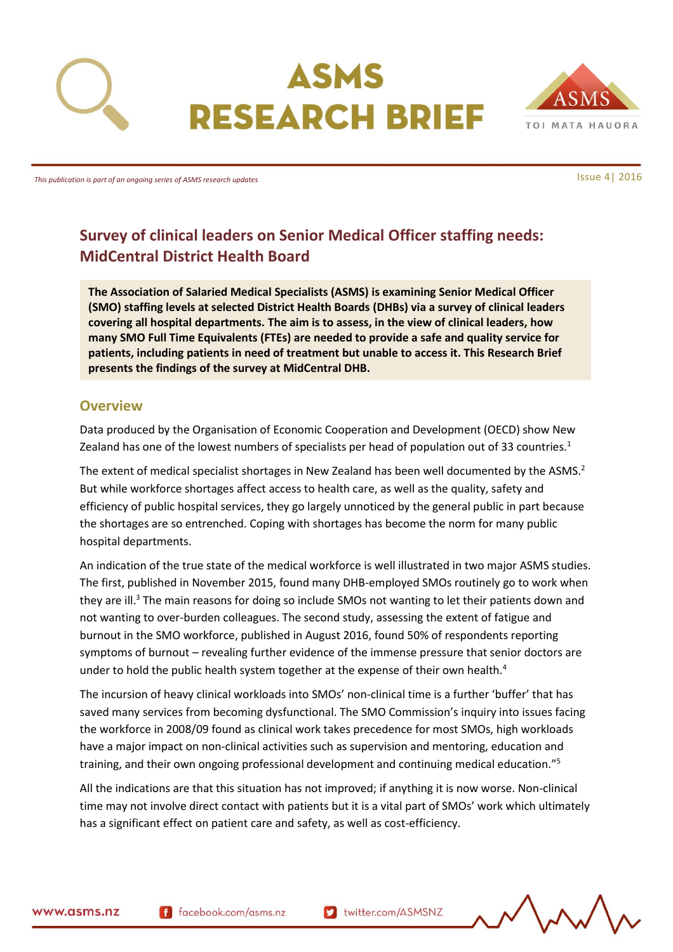



*This publication is part of an ongoing series of ASMS research updates*

# **Survey of clinical leaders on Senior Medical Officer staffing needs: MidCentral District Health Board**

**The Association of Salaried Medical Specialists (ASMS) is examining Senior Medical Officer (SMO) staffing levels at selected District Health Boards (DHBs) via a survey of clinical leaders covering all hospital departments. The aim is to assess, in the view of clinical leaders, how many SMO Full Time Equivalents (FTEs) are needed to provide a safe and quality service for patients, including patients in need of treatment but unable to access it. This Research Brief presents the findings of the survey at MidCentral DHB.**

### <span id="page-0-0"></span>**Overview**

Data produced by the Organisation of Economic Cooperation and Development (OECD) show New Zealand has one of the lowest numbers of specialists per head of population out of 33 countries.<sup>1</sup>

The extent of medical specialist shortages in New Zealand has been well documented by the ASMS.<sup>2</sup> But while workforce shortages affect access to health care, as well as the quality, safety and efficiency of public hospital services, they go largely unnoticed by the general public in part because the shortages are so entrenched. Coping with shortages has become the norm for many public hospital departments.

An indication of the true state of the medical workforce is well illustrated in two major ASMS studies. The first, published in November 2015, found many DHB-employed SMOs routinely go to work when they are ill.<sup>3</sup> The main reasons for doing so include SMOs not wanting to let their patients down and not wanting to over-burden colleagues. The second study, assessing the extent of fatigue and burnout in the SMO workforce, published in August 2016, found 50% of respondents reporting symptoms of burnout – revealing further evidence of the immense pressure that senior doctors are under to hold the public health system together at the expense of their own health.<sup>4</sup>

The incursion of heavy clinical workloads into SMOs' non-clinical time is a further 'buffer' that has saved many services from becoming dysfunctional. The SMO Commission's inquiry into issues facing the workforce in 2008/09 found as clinical work takes precedence for most SMOs, high workloads have a major impact on non-clinical activities such as supervision and mentoring, education and training, and their own ongoing professional development and continuing medical education."<sup>5</sup>

All the indications are that this situation has not improved; if anything it is now worse. Non-clinical time may not involve direct contact with patients but it is a vital part of SMOs' work which ultimately has a significant effect on patient care and safety, as well as cost-efficiency.

www.asms.nz

f facebook.com/asms.nz

Issue 4| 2016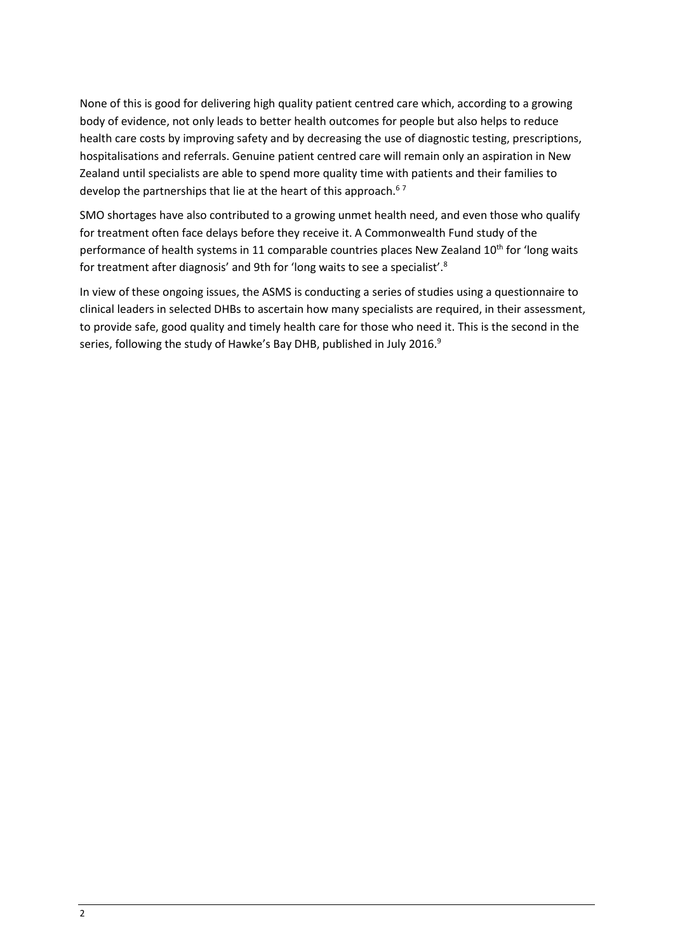None of this is good for delivering high quality patient centred care which, according to a growing body of evidence, not only leads to better health outcomes for people but also helps to reduce health care costs by improving safety and by decreasing the use of diagnostic testing, prescriptions, hospitalisations and referrals. Genuine patient centred care will remain only an aspiration in New Zealand until specialists are able to spend more quality time with patients and their families to develop the partnerships that lie at the heart of this approach.<sup>67</sup>

SMO shortages have also contributed to a growing unmet health need, and even those who qualify for treatment often face delays before they receive it. A Commonwealth Fund study of the performance of health systems in 11 comparable countries places New Zealand 10<sup>th</sup> for 'long waits for treatment after diagnosis' and 9th for 'long waits to see a specialist'.<sup>8</sup>

In view of these ongoing issues, the ASMS is conducting a series of studies using a questionnaire to clinical leaders in selected DHBs to ascertain how many specialists are required, in their assessment, to provide safe, good quality and timely health care for those who need it. This is the second in the series, following the study of Hawke's Bay DHB, published in July 2016. $^9$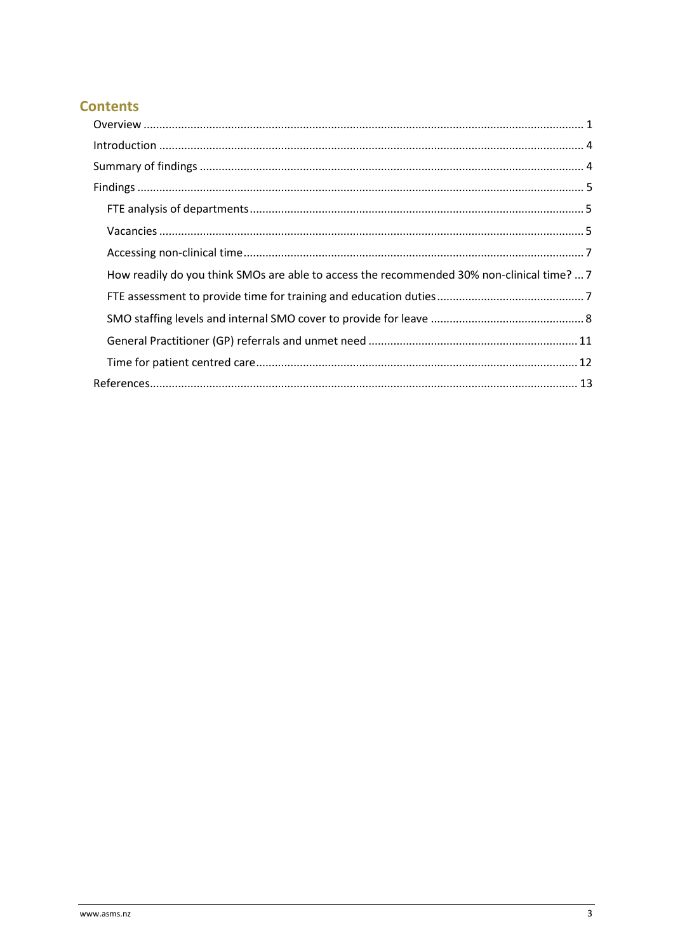# **Contents**

| How readily do you think SMOs are able to access the recommended 30% non-clinical time?  7 |
|--------------------------------------------------------------------------------------------|
|                                                                                            |
|                                                                                            |
|                                                                                            |
|                                                                                            |
|                                                                                            |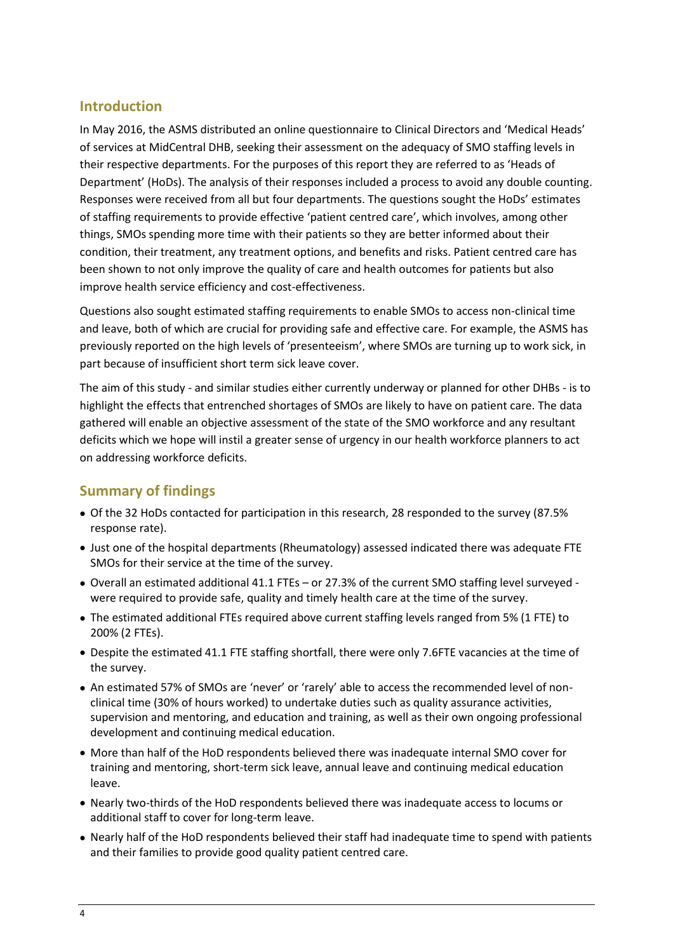## <span id="page-3-0"></span>**Introduction**

In May 2016, the ASMS distributed an online questionnaire to Clinical Directors and 'Medical Heads' of services at MidCentral DHB, seeking their assessment on the adequacy of SMO staffing levels in their respective departments. For the purposes of this report they are referred to as 'Heads of Department' (HoDs). The analysis of their responses included a process to avoid any double counting. Responses were received from all but four departments. The questions sought the HoDs' estimates of staffing requirements to provide effective 'patient centred care', which involves, among other things, SMOs spending more time with their patients so they are better informed about their condition, their treatment, any treatment options, and benefits and risks. Patient centred care has been shown to not only improve the quality of care and health outcomes for patients but also improve health service efficiency and cost-effectiveness.

Questions also sought estimated staffing requirements to enable SMOs to access non-clinical time and leave, both of which are crucial for providing safe and effective care. For example, the ASMS has previously reported on the high levels of 'presenteeism', where SMOs are turning up to work sick, in part because of insufficient short term sick leave cover.

The aim of this study - and similar studies either currently underway or planned for other DHBs - is to highlight the effects that entrenched shortages of SMOs are likely to have on patient care. The data gathered will enable an objective assessment of the state of the SMO workforce and any resultant deficits which we hope will instil a greater sense of urgency in our health workforce planners to act on addressing workforce deficits.

### <span id="page-3-1"></span>**Summary of findings**

- Of the 32 HoDs contacted for participation in this research, 28 responded to the survey (87.5% response rate).
- Just one of the hospital departments (Rheumatology) assessed indicated there was adequate FTE SMOs for their service at the time of the survey.
- Overall an estimated additional 41.1 FTEs or 27.3% of the current SMO staffing level surveyed were required to provide safe, quality and timely health care at the time of the survey.
- The estimated additional FTEs required above current staffing levels ranged from 5% (1 FTE) to 200% (2 FTEs).
- Despite the estimated 41.1 FTE staffing shortfall, there were only 7.6FTE vacancies at the time of the survey.
- An estimated 57% of SMOs are 'never' or 'rarely' able to access the recommended level of nonclinical time (30% of hours worked) to undertake duties such as quality assurance activities, supervision and mentoring, and education and training, as well as their own ongoing professional development and continuing medical education.
- More than half of the HoD respondents believed there was inadequate internal SMO cover for training and mentoring, short-term sick leave, annual leave and continuing medical education leave.
- Nearly two-thirds of the HoD respondents believed there was inadequate access to locums or additional staff to cover for long-term leave.
- Nearly half of the HoD respondents believed their staff had inadequate time to spend with patients and their families to provide good quality patient centred care.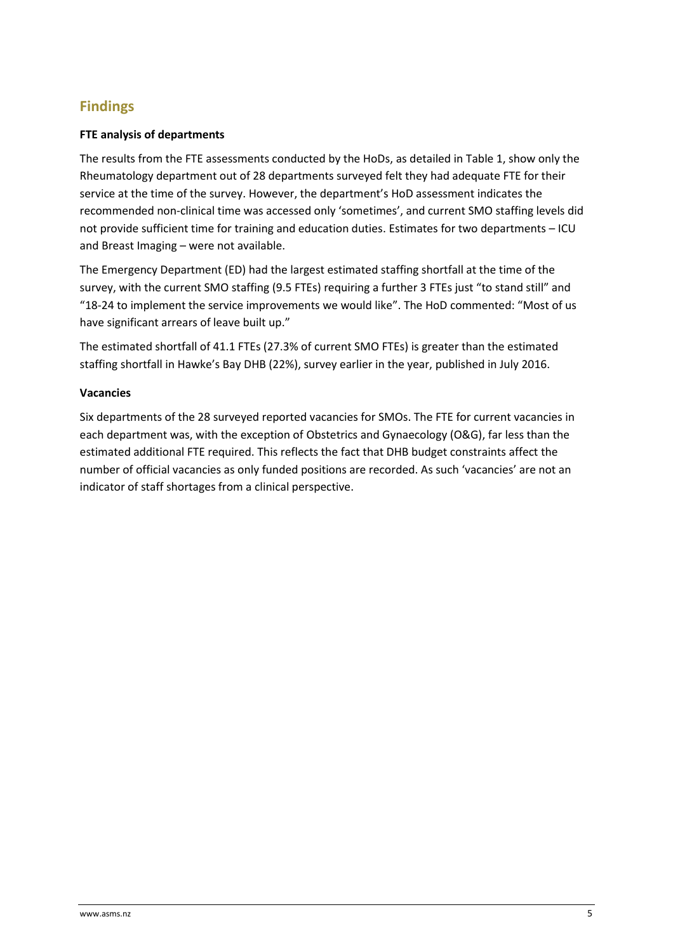# <span id="page-4-0"></span>**Findings**

#### <span id="page-4-1"></span>**FTE analysis of departments**

The results from the FTE assessments conducted by the HoDs, as detailed in Table 1, show only the Rheumatology department out of 28 departments surveyed felt they had adequate FTE for their service at the time of the survey. However, the department's HoD assessment indicates the recommended non-clinical time was accessed only 'sometimes', and current SMO staffing levels did not provide sufficient time for training and education duties. Estimates for two departments – ICU and Breast Imaging – were not available.

The Emergency Department (ED) had the largest estimated staffing shortfall at the time of the survey, with the current SMO staffing (9.5 FTEs) requiring a further 3 FTEs just "to stand still" and "18-24 to implement the service improvements we would like". The HoD commented: "Most of us have significant arrears of leave built up."

The estimated shortfall of 41.1 FTEs (27.3% of current SMO FTEs) is greater than the estimated staffing shortfall in Hawke's Bay DHB (22%), survey earlier in the year, published in July 2016.

#### <span id="page-4-2"></span>**Vacancies**

Six departments of the 28 surveyed reported vacancies for SMOs. The FTE for current vacancies in each department was, with the exception of Obstetrics and Gynaecology (O&G), far less than the estimated additional FTE required. This reflects the fact that DHB budget constraints affect the number of official vacancies as only funded positions are recorded. As such 'vacancies' are not an indicator of staff shortages from a clinical perspective.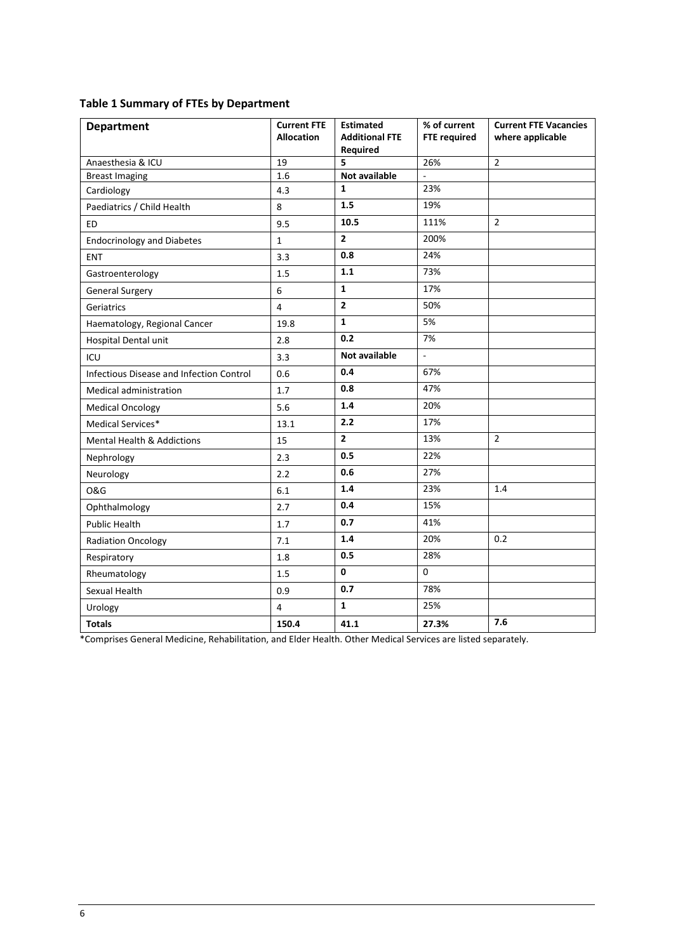| <b>Department</b>                               | <b>Current FTE</b><br><b>Allocation</b> | <b>Estimated</b><br><b>Additional FTE</b><br>Required | % of current<br><b>FTE required</b> | <b>Current FTE Vacancies</b><br>where applicable |
|-------------------------------------------------|-----------------------------------------|-------------------------------------------------------|-------------------------------------|--------------------------------------------------|
| Anaesthesia & ICU                               | 19                                      | 5                                                     | 26%                                 | $\overline{2}$                                   |
| <b>Breast Imaging</b>                           | 1.6                                     | Not available                                         |                                     |                                                  |
| Cardiology                                      | 4.3                                     | $\mathbf{1}$                                          | 23%                                 |                                                  |
| Paediatrics / Child Health                      | 8                                       | 1.5                                                   | 19%                                 |                                                  |
| <b>ED</b>                                       | 9.5                                     | 10.5                                                  | 111%                                | $\overline{2}$                                   |
| <b>Endocrinology and Diabetes</b>               | $\mathbf 1$                             | $\overline{2}$                                        | 200%                                |                                                  |
| ENT                                             | 3.3                                     | 0.8                                                   | 24%                                 |                                                  |
| Gastroenterology                                | 1.5                                     | 1.1                                                   | 73%                                 |                                                  |
| <b>General Surgery</b>                          | 6                                       | $\mathbf{1}$                                          | 17%                                 |                                                  |
| Geriatrics                                      | 4                                       | $\overline{2}$                                        | 50%                                 |                                                  |
| Haematology, Regional Cancer                    | 19.8                                    | $\mathbf{1}$                                          | 5%                                  |                                                  |
| Hospital Dental unit                            | 2.8                                     | 0.2                                                   | 7%                                  |                                                  |
| ICU                                             | 3.3                                     | <b>Not available</b>                                  | $\overline{\phantom{a}}$            |                                                  |
| <b>Infectious Disease and Infection Control</b> | 0.6                                     | 0.4                                                   | 67%                                 |                                                  |
| Medical administration                          | 1.7                                     | 0.8                                                   | 47%                                 |                                                  |
| <b>Medical Oncology</b>                         | 5.6                                     | 1.4                                                   | 20%                                 |                                                  |
| Medical Services*                               | 13.1                                    | 2.2                                                   | 17%                                 |                                                  |
| Mental Health & Addictions                      | 15                                      | $\overline{2}$                                        | 13%                                 | $\overline{2}$                                   |
| Nephrology                                      | 2.3                                     | 0.5                                                   | 22%                                 |                                                  |
| Neurology                                       | 2.2                                     | 0.6                                                   | 27%                                 |                                                  |
| <b>O&amp;G</b>                                  | 6.1                                     | 1.4                                                   | 23%                                 | 1.4                                              |
| Ophthalmology                                   | 2.7                                     | 0.4                                                   | 15%                                 |                                                  |
| Public Health                                   | 1.7                                     | 0.7                                                   | 41%                                 |                                                  |
| <b>Radiation Oncology</b>                       | 7.1                                     | 1.4                                                   | 20%                                 | 0.2                                              |
| Respiratory                                     | 1.8                                     | 0.5                                                   | 28%                                 |                                                  |
| Rheumatology                                    | 1.5                                     | 0                                                     | 0                                   |                                                  |
| Sexual Health                                   | 0.9                                     | 0.7                                                   | 78%                                 |                                                  |
| Urology                                         | 4                                       | $\mathbf{1}$                                          | 25%                                 |                                                  |
| <b>Totals</b>                                   | 150.4                                   | 41.1                                                  | 27.3%                               | 7.6                                              |

\*Comprises General Medicine, Rehabilitation, and Elder Health. Other Medical Services are listed separately.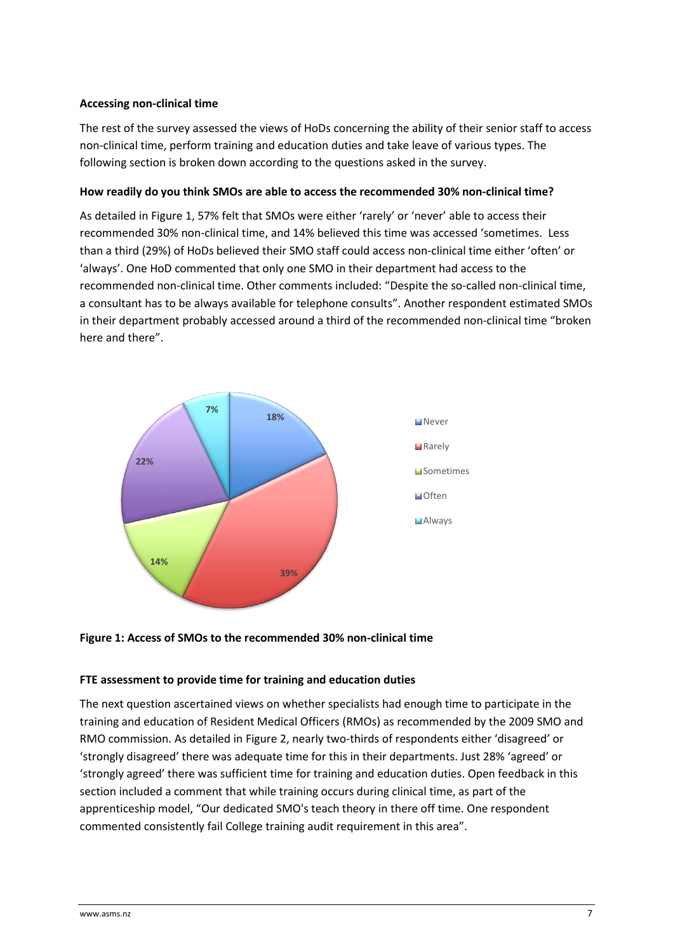#### <span id="page-6-0"></span>**Accessing non-clinical time**

The rest of the survey assessed the views of HoDs concerning the ability of their senior staff to access non-clinical time, perform training and education duties and take leave of various types. The following section is broken down according to the questions asked in the survey.

#### <span id="page-6-1"></span>**How readily do you think SMOs are able to access the recommended 30% non-clinical time?**

As detailed i[n Figure 1,](#page-6-3) 57% felt that SMOs were either 'rarely' or 'never' able to access their recommended 30% non-clinical time, and 14% believed this time was accessed 'sometimes. Less than a third (29%) of HoDs believed their SMO staff could access non-clinical time either 'often' or 'always'. One HoD commented that only one SMO in their department had access to the recommended non-clinical time. Other comments included: "Despite the so-called non-clinical time, a consultant has to be always available for telephone consults". Another respondent estimated SMOs in their department probably accessed around a third of the recommended non-clinical time "broken here and there".



<span id="page-6-3"></span><span id="page-6-2"></span>

#### **FTE assessment to provide time for training and education duties**

The next question ascertained views on whether specialists had enough time to participate in the training and education of Resident Medical Officers (RMOs) as recommended by the 2009 SMO and RMO commission. As detailed in [Figure 2,](#page-7-1) nearly two-thirds of respondents either 'disagreed' or 'strongly disagreed' there was adequate time for this in their departments. Just 28% 'agreed' or 'strongly agreed' there was sufficient time for training and education duties. Open feedback in this section included a comment that while training occurs during clinical time, as part of the apprenticeship model, "Our dedicated SMO's teach theory in there off time. One respondent commented consistently fail College training audit requirement in this area".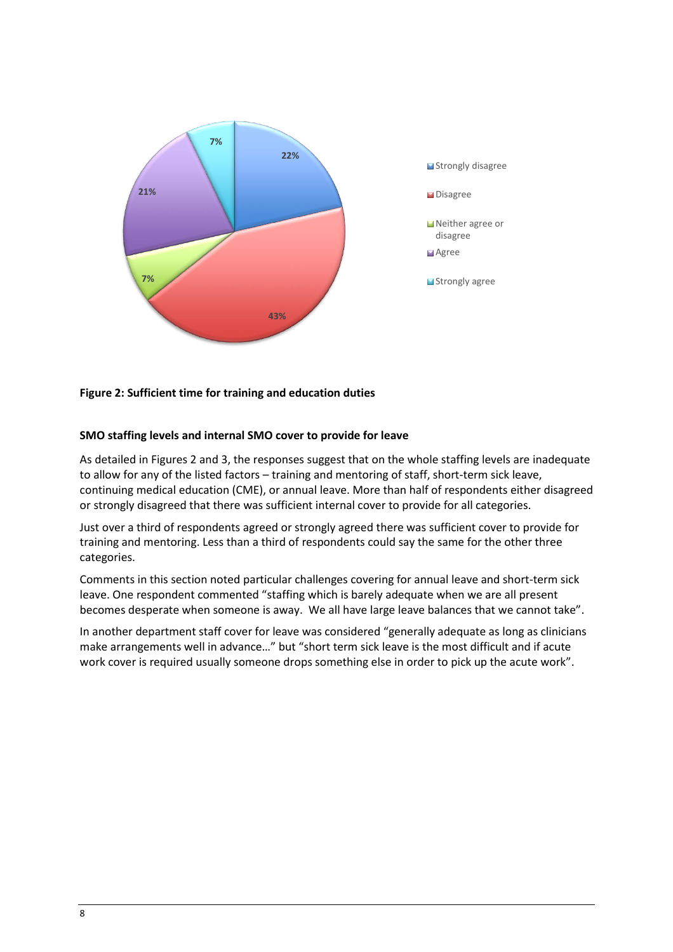

### <span id="page-7-1"></span><span id="page-7-0"></span>**Figure 2: Sufficient time for training and education duties**

#### **SMO staffing levels and internal SMO cover to provide for leave**

As detailed in Figures 2 and 3, the responses suggest that on the whole staffing levels are inadequate to allow for any of the listed factors – training and mentoring of staff, short-term sick leave, continuing medical education (CME), or annual leave. More than half of respondents either disagreed or strongly disagreed that there was sufficient internal cover to provide for all categories.

Just over a third of respondents agreed or strongly agreed there was sufficient cover to provide for training and mentoring. Less than a third of respondents could say the same for the other three categories.

Comments in this section noted particular challenges covering for annual leave and short-term sick leave. One respondent commented "staffing which is barely adequate when we are all present becomes desperate when someone is away. We all have large leave balances that we cannot take".

In another department staff cover for leave was considered "generally adequate as long as clinicians make arrangements well in advance…" but "short term sick leave is the most difficult and if acute work cover is required usually someone drops something else in order to pick up the acute work".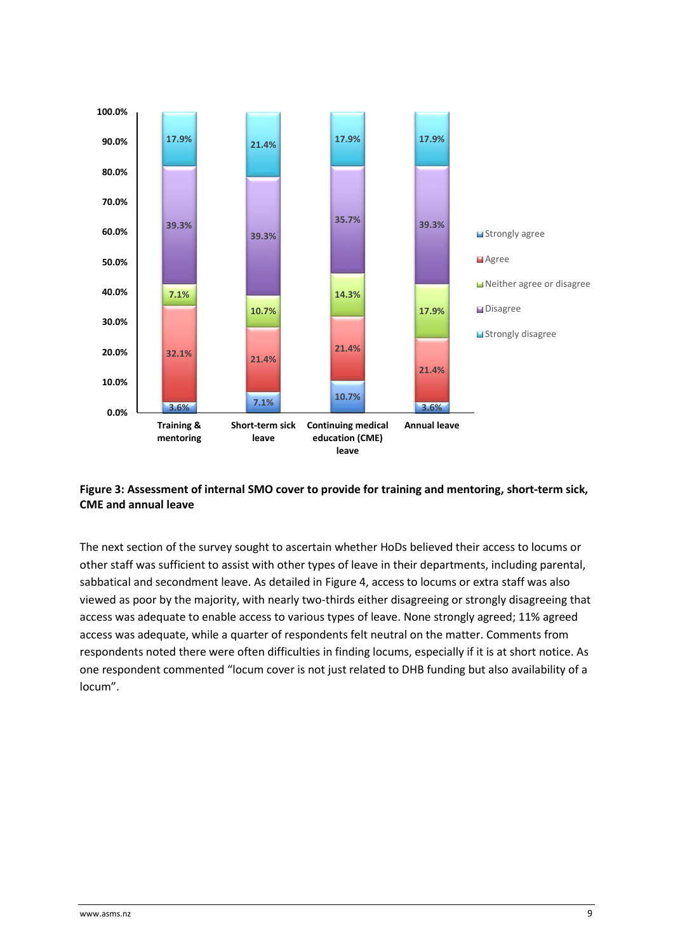

### **Figure 3: Assessment of internal SMO cover to provide for training and mentoring, short-term sick, CME and annual leave**

The next section of the survey sought to ascertain whether HoDs believed their access to locums or other staff was sufficient to assist with other types of leave in their departments, including parental, sabbatical and secondment leave. As detailed i[n Figure 4,](#page-9-0) access to locums or extra staff was also viewed as poor by the majority, with nearly two-thirds either disagreeing or strongly disagreeing that access was adequate to enable access to various types of leave. None strongly agreed; 11% agreed access was adequate, while a quarter of respondents felt neutral on the matter. Comments from respondents noted there were often difficulties in finding locums, especially if it is at short notice. As one respondent commented "locum cover is not just related to DHB funding but also availability of a locum".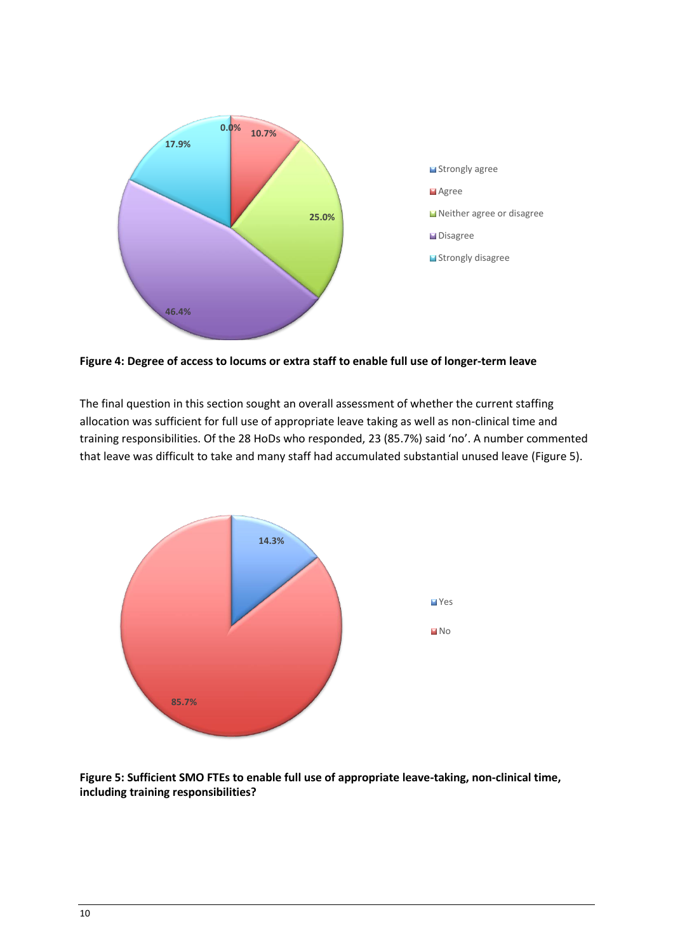

<span id="page-9-0"></span>**Figure 4: Degree of access to locums or extra staff to enable full use of longer-term leave**

The final question in this section sought an overall assessment of whether the current staffing allocation was sufficient for full use of appropriate leave taking as well as non-clinical time and training responsibilities. Of the 28 HoDs who responded, 23 (85.7%) said 'no'. A number commented that leave was difficult to take and many staff had accumulated substantial unused leave (Figure 5).



**Figure 5: Sufficient SMO FTEs to enable full use of appropriate leave-taking, non-clinical time, including training responsibilities?**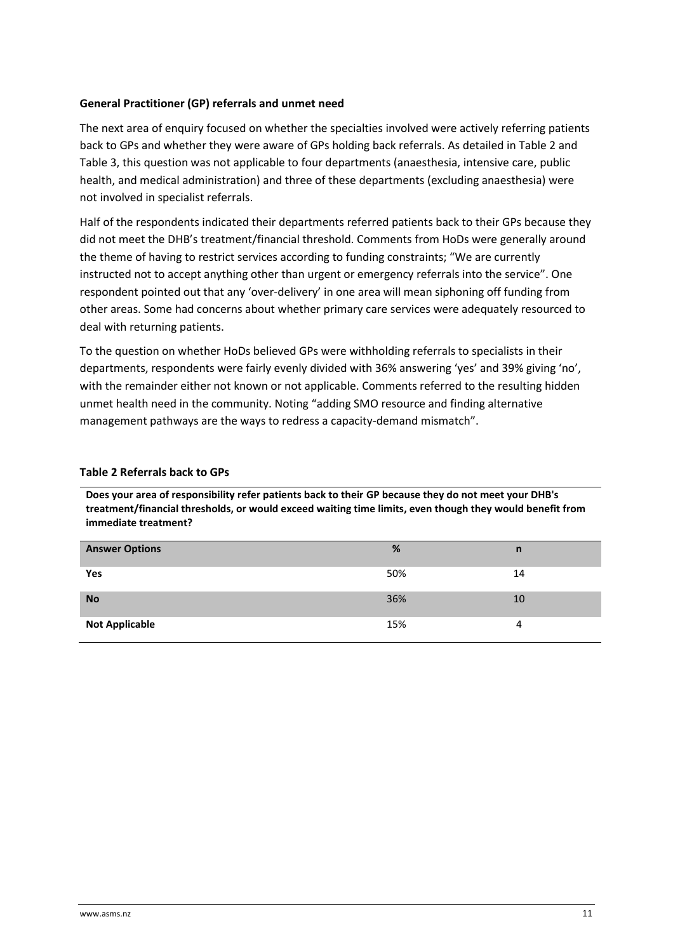#### <span id="page-10-0"></span>**General Practitioner (GP) referrals and unmet need**

The next area of enquiry focused on whether the specialties involved were actively referring patients back to GPs and whether they were aware of GPs holding back referrals. As detailed in Table 2 and Table 3, this question was not applicable to four departments (anaesthesia, intensive care, public health, and medical administration) and three of these departments (excluding anaesthesia) were not involved in specialist referrals.

Half of the respondents indicated their departments referred patients back to their GPs because they did not meet the DHB's treatment/financial threshold. Comments from HoDs were generally around the theme of having to restrict services according to funding constraints; "We are currently instructed not to accept anything other than urgent or emergency referrals into the service". One respondent pointed out that any 'over-delivery' in one area will mean siphoning off funding from other areas. Some had concerns about whether primary care services were adequately resourced to deal with returning patients.

To the question on whether HoDs believed GPs were withholding referrals to specialists in their departments, respondents were fairly evenly divided with 36% answering 'yes' and 39% giving 'no', with the remainder either not known or not applicable. Comments referred to the resulting hidden unmet health need in the community. Noting "adding SMO resource and finding alternative management pathways are the ways to redress a capacity-demand mismatch".

#### **Table 2 Referrals back to GPs**

**Does your area of responsibility refer patients back to their GP because they do not meet your DHB's treatment/financial thresholds, or would exceed waiting time limits, even though they would benefit from immediate treatment?**

| <b>Answer Options</b> | %   | n  |
|-----------------------|-----|----|
| Yes                   | 50% | 14 |
| <b>No</b>             | 36% | 10 |
| <b>Not Applicable</b> | 15% |    |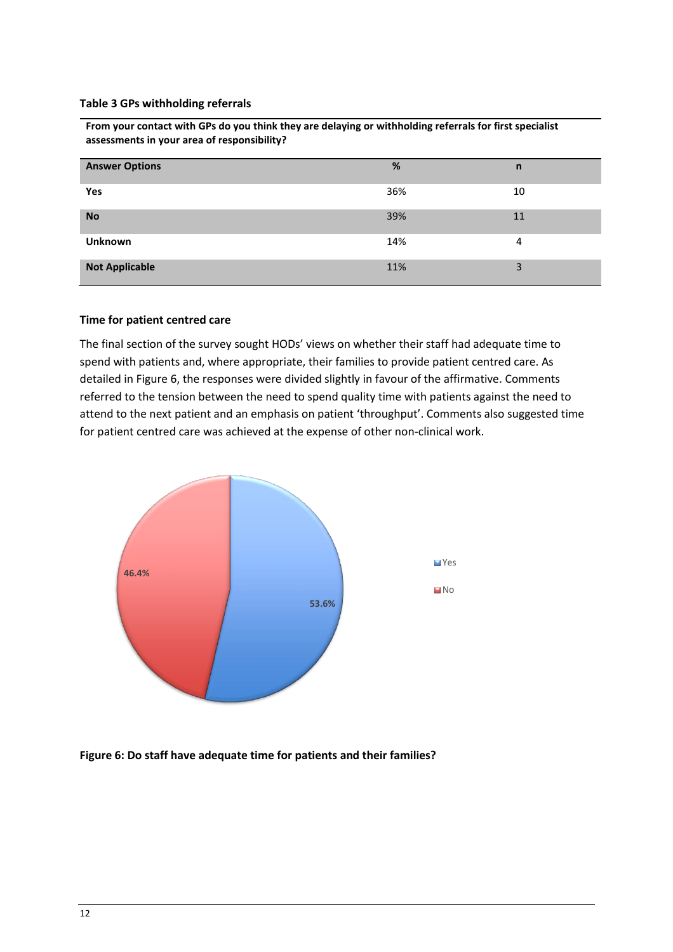#### **Table 3 GPs withholding referrals**

**From your contact with GPs do you think they are delaying or withholding referrals for first specialist assessments in your area of responsibility?**

| <b>Answer Options</b> | %   | n  |
|-----------------------|-----|----|
| Yes                   | 36% | 10 |
| <b>No</b>             | 39% | 11 |
| <b>Unknown</b>        | 14% | 4  |
| <b>Not Applicable</b> | 11% | 3  |

#### <span id="page-11-0"></span>**Time for patient centred care**

The final section of the survey sought HODs' views on whether their staff had adequate time to spend with patients and, where appropriate, their families to provide patient centred care. As detailed in Figure 6, the responses were divided slightly in favour of the affirmative. Comments referred to the tension between the need to spend quality time with patients against the need to attend to the next patient and an emphasis on patient 'throughput'. Comments also suggested time for patient centred care was achieved at the expense of other non-clinical work.



**Figure 6: Do staff have adequate time for patients and their families?**